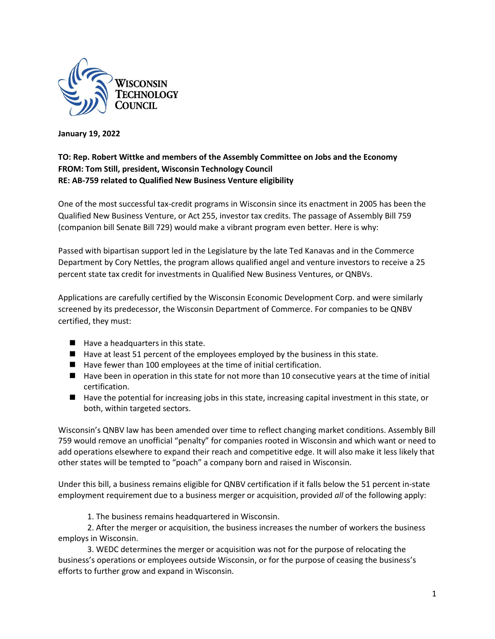

**January 19, 2022**

## **TO: Rep. Robert Wittke and members of the Assembly Committee on Jobs and the Economy FROM: Tom Still, president, Wisconsin Technology Council RE: AB-759 related to Qualified New Business Venture eligibility**

One of the most successful tax-credit programs in Wisconsin since its enactment in 2005 has been the Qualified New Business Venture, or Act 255, investor tax credits. The passage of Assembly Bill 759 (companion bill Senate Bill 729) would make a vibrant program even better. Here is why:

Passed with bipartisan support led in the Legislature by the late Ted Kanavas and in the Commerce Department by Cory Nettles, the program allows qualified angel and venture investors to receive a 25 percent state tax credit for investments in Qualified New Business Ventures, or QNBVs.

Applications are carefully certified by the Wisconsin Economic Development Corp. and were similarly screened by its predecessor, the Wisconsin Department of Commerce. For companies to be QNBV certified, they must:

- Have a headquarters in this state.
- Have at least 51 percent of the employees employed by the business in this state.
- Have fewer than 100 employees at the time of initial certification.
- Have been in operation in this state for not more than 10 consecutive years at the time of initial certification.
- Have the potential for increasing jobs in this state, increasing capital investment in this state, or both, within targeted sectors.

Wisconsin's QNBV law has been amended over time to reflect changing market conditions. Assembly Bill 759 would remove an unofficial "penalty" for companies rooted in Wisconsin and which want or need to add operations elsewhere to expand their reach and competitive edge. It will also make it less likely that other states will be tempted to "poach" a company born and raised in Wisconsin.

Under this bill, a business remains eligible for QNBV certification if it falls below the 51 percent in-state employment requirement due to a business merger or acquisition, provided *all* of the following apply:

1. The business remains headquartered in Wisconsin.

2. After the merger or acquisition, the business increases the number of workers the business employs in Wisconsin.

3. WEDC determines the merger or acquisition was not for the purpose of relocating the business's operations or employees outside Wisconsin, or for the purpose of ceasing the business's efforts to further grow and expand in Wisconsin.